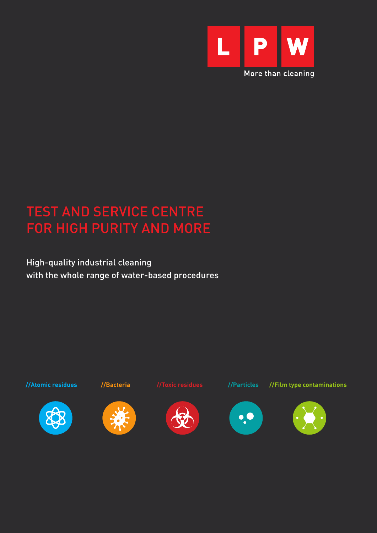

# TEST AND SERVICE CENTRE FOR HIGH PURITY AND MORE

High-quality industrial cleaning with the whole range of water-based procedures

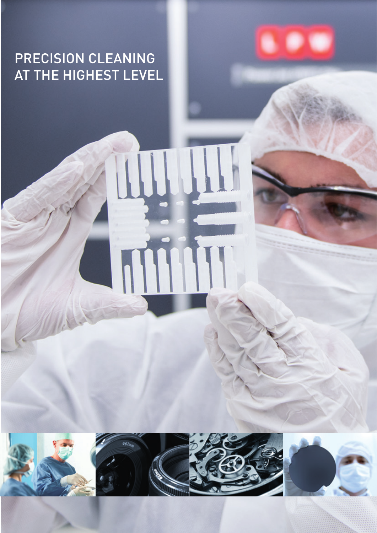# PRECISION CLEANING AT THE HIGHEST LEVEL



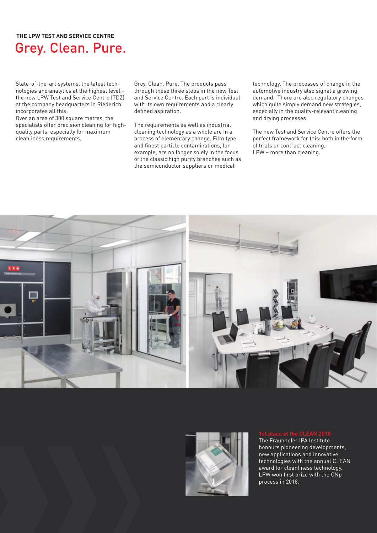## Grey. Clean. Pure. **THE LPW TEST AND SERVICE CENTRE**

State-of-the-art systems, the latest technologies and analytics at the highest level – the new LPW Test and Service Centre (TDZ) at the company headquarters in Riederich incorporates all this.

Over an area of 300 square metres, the specialists offer precision cleaning for highquality parts, especially for maximum cleanliness requirements.

Grey. Clean. Pure. The products pass through these three steps in the new Test and Service Centre. Each part is individual with its own requirements and a clearly defined aspiration.

The requirements as well as industrial cleaning technology as a whole are in a process of elementary change. Film type and finest particle contaminations, for example, are no longer solely in the focus of the classic high purity branches such as the semiconductor suppliers or medical

technology. The processes of change in the automotive industry also signal a growing demand. There are also regulatory changes which quite simply demand new strategies, especially in the quality-relevant cleaning and drying processes.

The new Test and Service Centre offers the perfect framework for this: both in the form of trials or contract cleaning. LPW – more than cleaning.





The Fraunhofer IPA Institute honours pioneering developments, new applications and innovative technologies with the annual CLEAN award for cleanliness technology. LPW won first prize with the CNp process in 2018.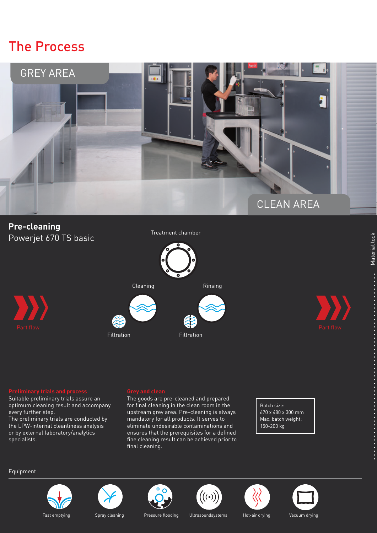## The Process



## **Pre-cleaning** Powerjet 670 TS basic

Treatment chamber





Suitable preliminary trials assure an optimum cleaning result and accompany every further step.

The preliminary trials are conducted by the LPW-internal cleanliness analysis or by external laboratory/analytics specialists.

The goods are pre-cleaned and prepared for final cleaning in the clean room in the upstream grey area. Pre-cleaning is always mandatory for all products. It serves to eliminate undesirable contaminations and ensures that the prerequisites for a defined fine cleaning result can be achieved prior to final cleaning.

Batch size: 670 x 480 x 300 mm Max. batch weight: 150-200 kg

## Equipment













Material lock

**•••••••** 

Material lock

Fast emptying Spray cleaning Pressure flooding Ultrasoundsystems Hot-air drying Vacuum drying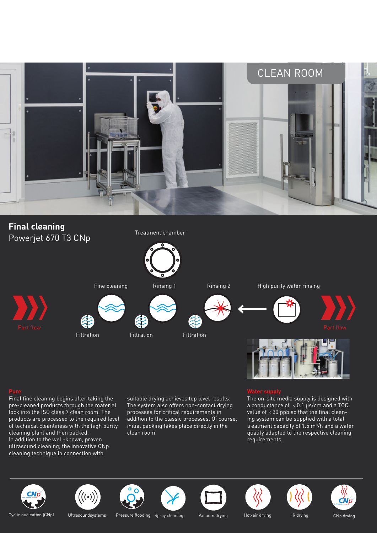

## **Final cleaning** Powerjet 670 T3 CNp

Treatment chamber



Final fine cleaning begins after taking the pre-cleaned products through the material lock into the ISO class 7 clean room. The products are processed to the required level of technical cleanliness with the high purity cleaning plant and then packed. In addition to the well-known, proven ultrasound cleaning, the innovative CNp cleaning technique in connection with

suitable drying achieves top level results. The system also offers non-contact drying processes for critical requirements in addition to the classic processes. Of course, initial packing takes place directly in the clean room.

The on-site media supply is designed with a conductance of < 0.1 μs/cm and a TOC value of < 30 ppb so that the final cleaning system can be supplied with a total treatment capacity of 1.5 m³/h and a water quality adapted to the respective cleaning requirements.





Cyclic nucleation (CNp) Ultrasoundsystems Pressure flooding Spray cleaning Vacuum drying Hot-air drying IR drying CNp drying